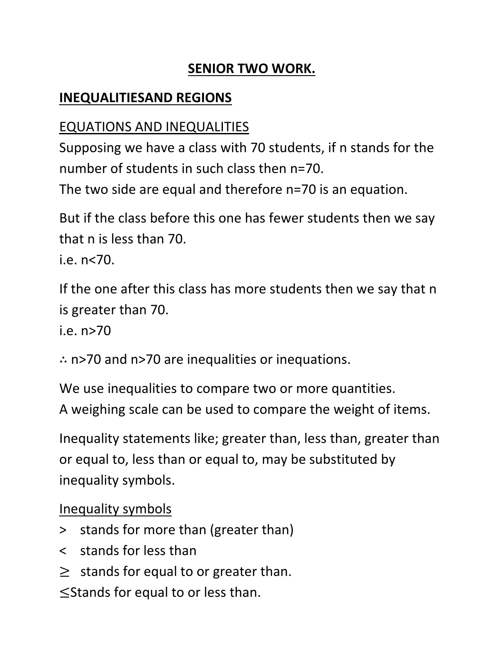#### **SENIOR TWO WORK.**

#### **INEQUALITIESAND REGIONS**

## EQUATIONS AND INEQUALITIES

Supposing we have a class with 70 students, if n stands for the number of students in such class then n=70.

The two side are equal and therefore n=70 is an equation.

But if the class before this one has fewer students then we say that n is less than 70.

i.e. n<70.

If the one after this class has more students then we say that n is greater than 70.

i.e. n>70

∴ n>70 and n>70 are inequalities or inequations.

We use inequalities to compare two or more quantities. A weighing scale can be used to compare the weight of items.

Inequality statements like; greater than, less than, greater than or equal to, less than or equal to, may be substituted by inequality symbols.

Inequality symbols

- > stands for more than (greater than)
- < stands for less than
- $\geq$  stands for equal to or greater than.

≤Stands for equal to or less than.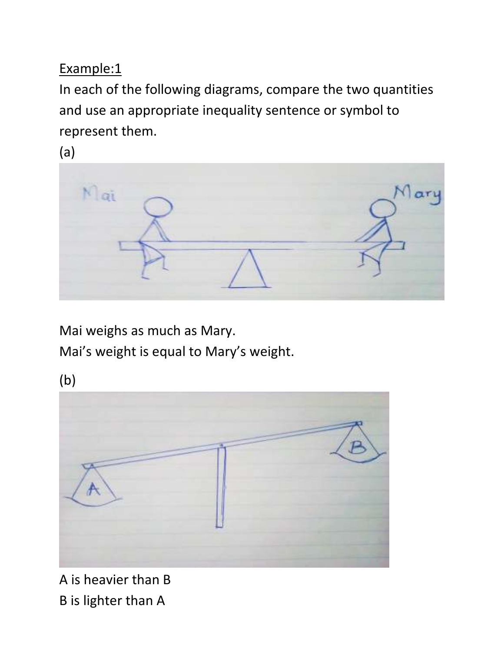In each of the following diagrams, compare the two quantities and use an appropriate inequality sentence or symbol to represent them.

(a)



Mai weighs as much as Mary. Mai's weight is equal to Mary's weight.

(b)



A is heavier than B B is lighter than A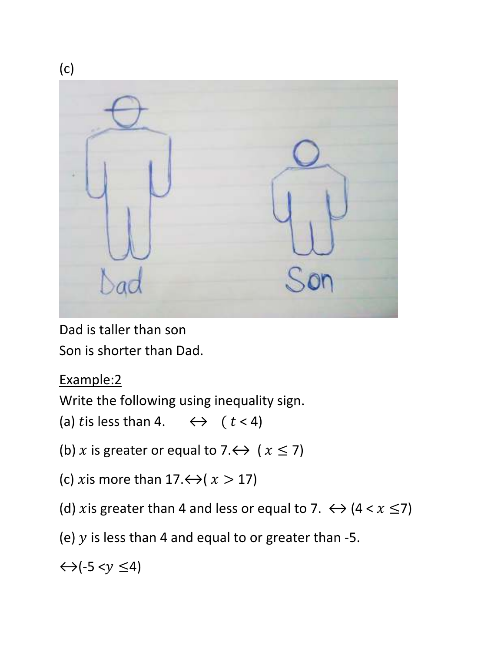

Dad is taller than son Son is shorter than Dad.

#### Example:2

Write the following using inequality sign.

- (a) tis less than 4.  $\leftrightarrow$  (  $t < 4$ )
- (b) x is greater or equal to 7. $\leftrightarrow$  ( $x \le 7$ )
- (c) *x* is more than  $17. \leftrightarrow (x > 17)$
- (d) xis greater than 4 and less or equal to 7.  $\leftrightarrow$  (4 < x  $\leq$ 7)
- (e)  $y$  is less than 4 and equal to or greater than -5.

 $\leftrightarrow$ (-5 < $y \leq 4$ )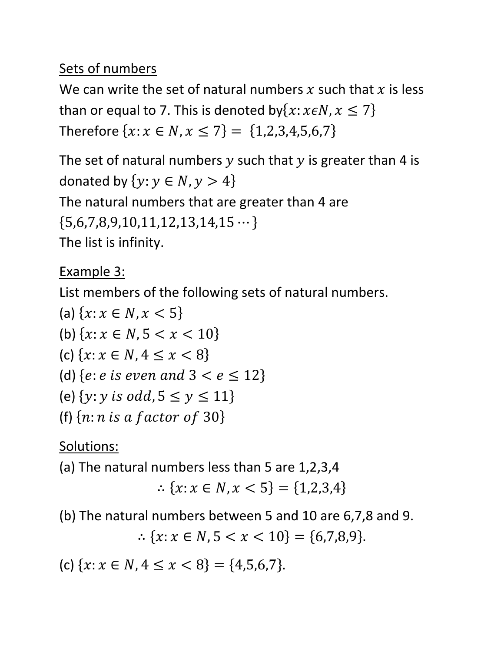#### Sets of numbers

We can write the set of natural numbers x such that x is less than or equal to 7. This is denoted by $\{x: x \in N, x \leq 7\}$ Therefore  $\{x: x \in N, x \leq 7\} = \{1,2,3,4,5,6,7\}$ 

The set of natural numbers  $y$  such that  $y$  is greater than 4 is donated by  $\{y: y \in N, y > 4\}$ The natural numbers that are greater than 4 are  ${5,6,7,8,9,10,11,12,13,14,15\cdots}$ The list is infinity.

#### Example 3:

List members of the following sets of natural numbers.

(a)  $\{x : x \in N, x < 5\}$ (b)  $\{x : x \in N, 5 < x < 10\}$ (c)  $\{x : x \in N, 4 \leq x < 8\}$ (d) {*e*: *e* is even and  $3 < e \le 12$ } (e)  $\{y: y \text{ is odd}, 5 \le y \le 11\}$ (f)  $\{n:n \text{ is a factor of } 30\}$ 

Solutions:

(a) The natural numbers less than 5 are 1,2,3,4

$$
\therefore \{x \colon x \in N, x < 5\} = \{1, 2, 3, 4\}
$$

(b) The natural numbers between 5 and 10 are 6,7,8 and 9.

∴  $\{x : x \in N, 5 < x < 10\} = \{6,7,8,9\}.$ 

(c)  $\{x : x \in N, 4 \le x < 8\} = \{4, 5, 6, 7\}.$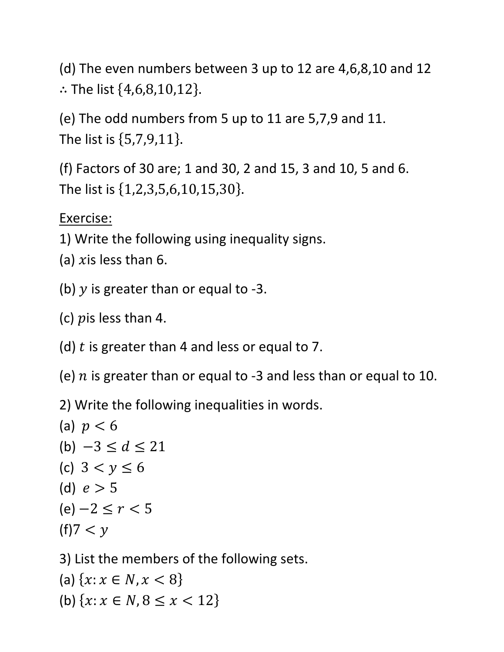(d) The even numbers between 3 up to 12 are 4,6,8,10 and 12 ∴ The list  $\{4,6,8,10,12\}$ .

(e) The odd numbers from 5 up to 11 are 5,7,9 and 11. The list is  $\{5,7,9,11\}$ .

(f) Factors of 30 are; 1 and 30, 2 and 15, 3 and 10, 5 and 6. The list is  $\{1, 2, 3, 5, 6, 10, 15, 30\}.$ 

Exercise:

- 1) Write the following using inequality signs.
- (a)  $x$  is less than 6.
- (b)  *is greater than or equal to -3.*
- (c)  *is less than 4.*
- (d)  $t$  is greater than 4 and less or equal to 7.
- (e)  $n$  is greater than or equal to -3 and less than or equal to 10.

2) Write the following inequalities in words.

(a)  $p < 6$ (b)  $-3 \le d \le 21$ (c)  $3 < y \le 6$ (d)  $e > 5$  $(e)$  −2  $\leq r$  < 5  $(f)7 < y$ 

3) List the members of the following sets.

(a)  $\{x : x \in N, x < 8\}$ (b)  $\{x : x \in N, 8 \le x < 12\}$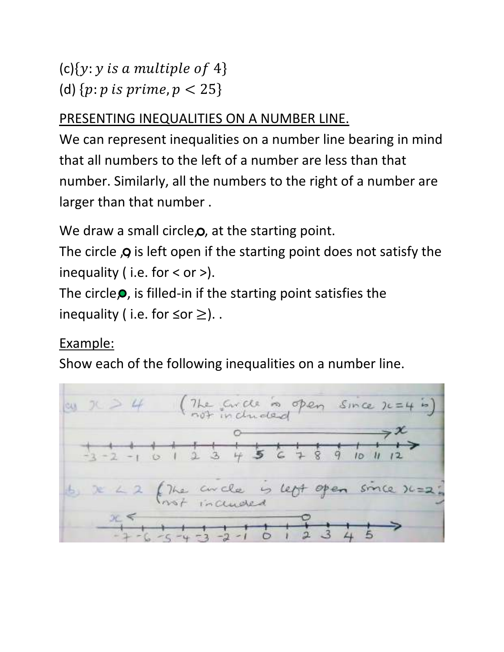# (c) $\{y: y \text{ is a multiple of } 4\}$ (d)  $\{p:p \text{ is prime}, p < 25\}$

## PRESENTING INEQUALITIES ON A NUMBER LINE.

We can represent inequalities on a number line bearing in mind that all numbers to the left of a number are less than that number. Similarly, all the numbers to the right of a number are larger than that number .

We draw a small circle,  $\mathbf{o}$ , at the starting point.

The circle  $\boldsymbol{Q}$  is left open if the starting point does not satisfy the inequality ( i.e. for  $\lt$  or  $\gt$ ).

The circle $\bullet$ , is filled-in if the starting point satisfies the inequality ( i.e. for  $\leq$  or  $\geq$ )..

# Example:

Show each of the following inequalities on a number line.

$$
20 \times 10 = 4
$$
\nAnswer 2.4

\nAnswer 2.4

\nAnswer 2.4

\nAnswer 2.4

\nAnswer 2.4

\nAnswer 2.4

\nAnswer 2.4

\nAnswer 2.4

\nAnswer 2.4

\nAnswer 2.4

\nAnswer 2.4

\nAnswer 2.4

\nAnswer 2.4

\nAnswer 2.4

\nAnswer 2.4

\nAnswer 2.4

\nAnswer 2.4

\nAnswer 2.4

\nAnswer 2.4

\nAnswer 2.4

\nAnswer 2.4

\nAnswer 2.4

\nAnswer 2.4

\nAnswer 2.4

\nAnswer 2.4

\nAnswer 2.4

\nAnswer 2.4

\nAnswer 2.4

\nAnswer 2.4

\nAnswer 2.4

\nAnswer 2.4

\nAnswer 2.4

\nAnswer 2.4

\nAnswer 2.4

\nAnswer 2.4

\nAnswer 2.4

\nAnswer 2.4

\nAnswer 2.4

\nAnswer 2.4

\nAnswer 2.4

\nAnswer 2.4

\nAnswer 2.4

\nAnswer 2.4

\nAnswer 2.4

\nAnswer 2.4

\nAnswer 2.4

\nAnswer 2.4

\nAnswer 2.4

\nAnswer 2.4

\nAnswer 2.4

\nAnswer 2.4

\nAnswer 2.4

\nAnswer 2.4

\nAnswer 2.4

\nAnswer 2.4

\nAnswer 2.4

\nAnswer 2.4

\nAnswer 2.4

\nAnswer 2.4

\nAnswer 2.4

\nAnswer 2.4

\nAnswer 2.4

\nAnswer 2.4

\nAnswer 2.4

\nAnswer 2.4

\n7.4

\n7.4

\n7.4

\n7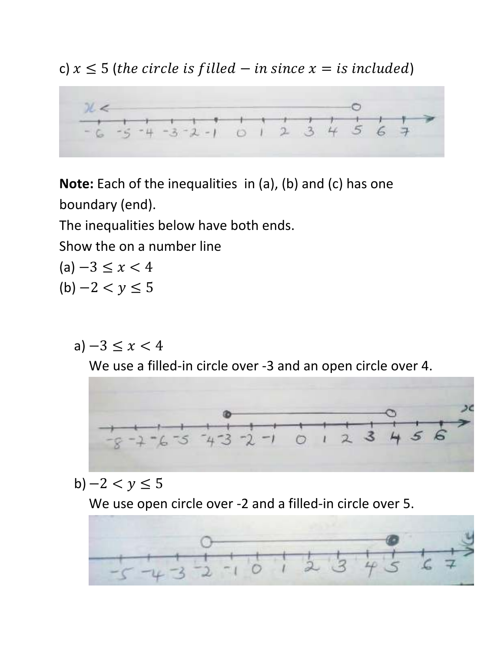c)  $x \leq 5$  (the circle is filled  $-$  in since  $x =$  is included)

 $26.6$  $-5 - 4 - 3 - 2 - 1$  0 1 2 3 4 5

**Note:** Each of the inequalities in (a), (b) and (c) has one boundary (end).

The inequalities below have both ends.

Show the on a number line

- $(a) -3 \leq x < 4$  $(b) -2 < y \le 5$ 
	- a)  $-3 \le x < 4$

We use a filled-in circle over -3 and an open circle over 4.



b)  $-2 < y \le 5$ 

We use open circle over -2 and a filled-in circle over 5.

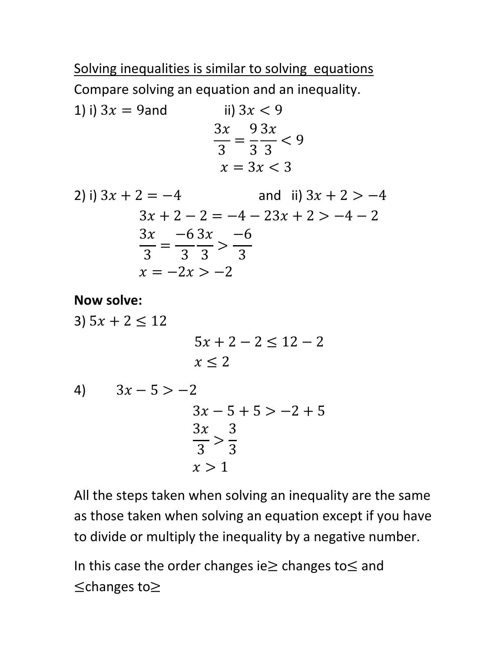Solving inequalities is similar to solving equations

Compare solving an equation and an inequality.

1) i)  $3x = 9$ and ii)  $3x < 9$  $3x$ 3 = 9 3  $3x$ 3  $< 9$  $x = 3x < 3$ 

2) i) 
$$
3x + 2 = -4
$$
 and ii)  $3x + 2 > -4$   
\n
$$
3x + 2 - 2 = -4 - 23x + 2 > -4 - 2
$$
\n
$$
\frac{3x}{3} = \frac{-6}{3} \cdot \frac{3x}{3} > \frac{-6}{3}
$$
\n
$$
x = -2x > -2
$$

**Now solve:** 

3)  $5x + 2 \le 12$  $5x + 2 - 2 < 12 - 2$  $x < 2$ 4)  $3x - 5 > -2$  $3x - 5 + 5 > -2 + 5$  $3x$ 3  $>$ 3 3  $x > 1$ 

All the steps taken when solving an inequality are the same as those taken when solving an equation except if you have to divide or multiply the inequality by a negative number.

In this case the order changes ie≥ changes to≤ and ≤changes to≥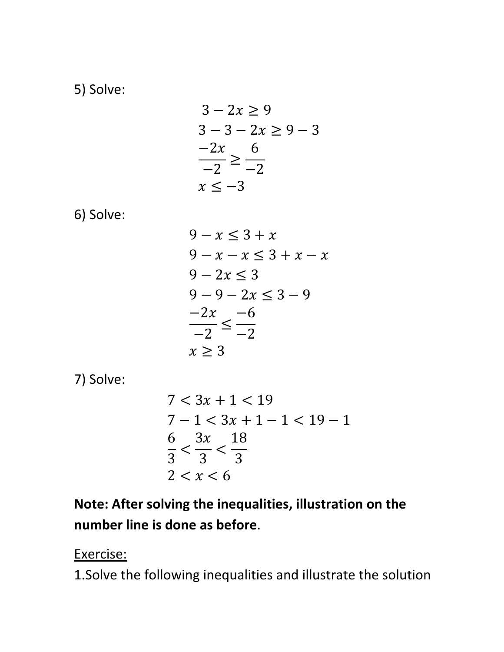5) Solve:

$$
3 - 2x \ge 9
$$
  
\n
$$
3 - 3 - 2x \ge 9 - 3
$$
  
\n
$$
\frac{-2x}{-2} \ge \frac{6}{-2}
$$
  
\n
$$
x \le -3
$$

6) Solve:

$$
9 - x \le 3 + x
$$
  
\n
$$
9 - x - x \le 3 + x - x
$$
  
\n
$$
9 - 2x \le 3
$$
  
\n
$$
9 - 9 - 2x \le 3 - 9
$$
  
\n
$$
\frac{-2x}{-2} \le \frac{-6}{-2}
$$
  
\n
$$
x \ge 3
$$

7) Solve:

$$
7 < 3x + 1 < 19
$$
\n
$$
7 - 1 < 3x + 1 - 1 < 19 - 1
$$
\n
$$
\frac{6}{3} < \frac{3x}{3} < \frac{18}{3}
$$
\n
$$
2 < x < 6
$$

**Note: After solving the inequalities, illustration on the number line is done as before**.

Exercise:

1.Solve the following inequalities and illustrate the solution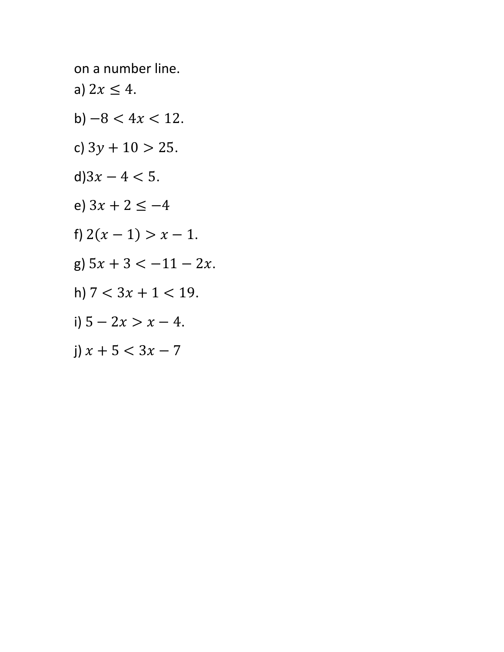on a number line.

- a)  $2x \leq 4$ .
- b)  $-8 < 4x < 12$ .
- c)  $3y + 10 > 25$ .
- d) $3x 4 < 5$ .
- e)  $3x + 2 \le -4$
- f)  $2(x 1) > x 1$ .
- g)  $5x + 3 < -11 2x$ .
- h)  $7 < 3x + 1 < 19$ .
- i)  $5 2x > x 4$ .
- j)  $x + 5 < 3x 7$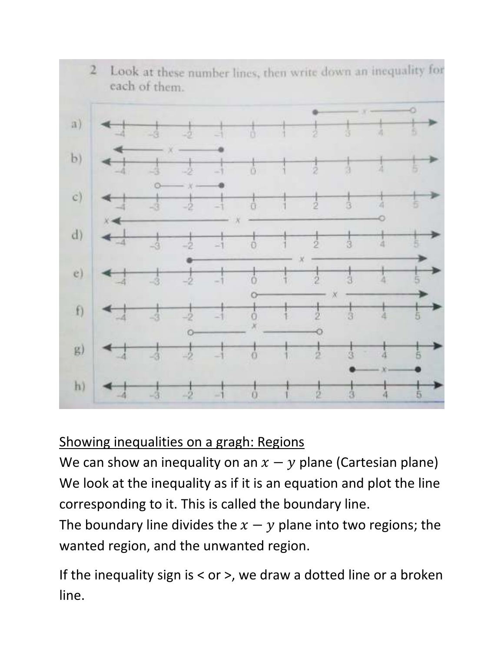

#### Showing inequalities on a gragh: Regions

We can show an inequality on an  $x - y$  plane (Cartesian plane) We look at the inequality as if it is an equation and plot the line corresponding to it. This is called the boundary line.

The boundary line divides the  $x - y$  plane into two regions; the wanted region, and the unwanted region.

If the inequality sign is  $<$  or  $>$ , we draw a dotted line or a broken line.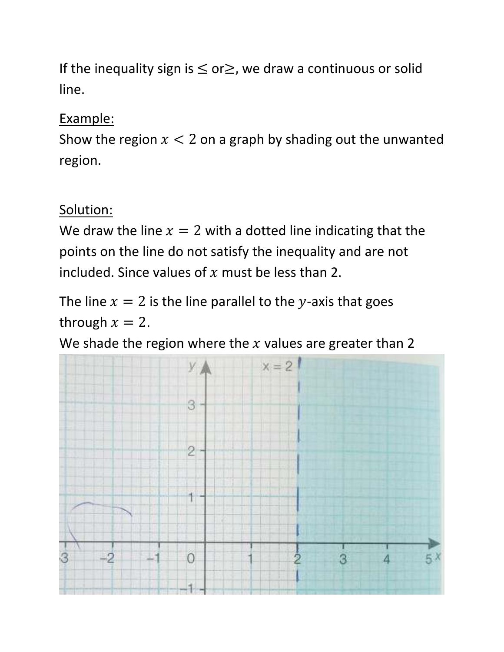If the inequality sign is  $\leq$  or $\geq$ , we draw a continuous or solid line.

#### Example:

Show the region  $x < 2$  on a graph by shading out the unwanted region.

#### Solution:

We draw the line  $x = 2$  with a dotted line indicating that the points on the line do not satisfy the inequality and are not included. Since values of  $x$  must be less than 2.

The line  $x = 2$  is the line parallel to the y-axis that goes through  $x = 2$ .

We shade the region where the  $x$  values are greater than 2

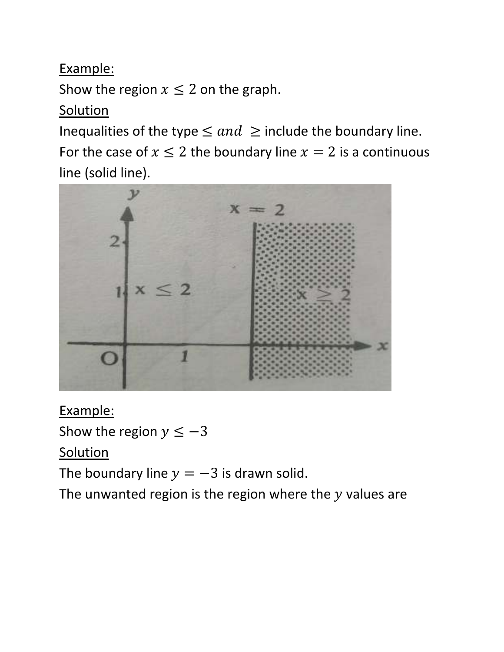Show the region  $x \leq 2$  on the graph.

#### **Solution**

Inequalities of the type  $\leq$  and  $\geq$  include the boundary line. For the case of  $x \le 2$  the boundary line  $x = 2$  is a continuous line (solid line).



Example: Show the region  $y \leq -3$ **Solution** The boundary line  $y = -3$  is drawn solid.

The unwanted region is the region where the  $y$  values are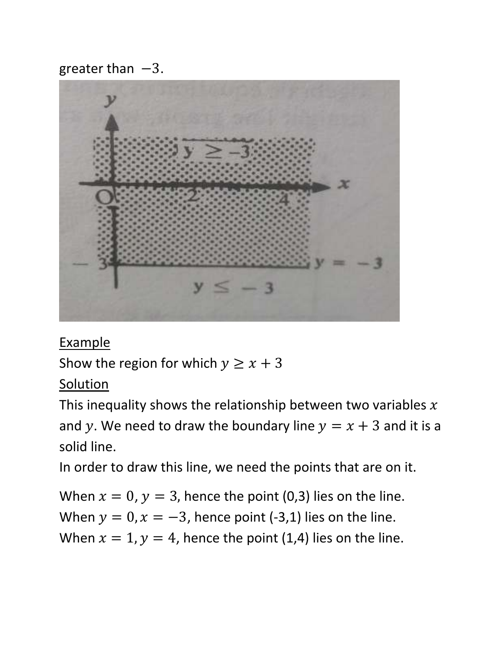greater than  $-3$ .



**Example** 

Show the region for which  $y \ge x + 3$ 

Solution

This inequality shows the relationship between two variables  $x$ and y. We need to draw the boundary line  $y = x + 3$  and it is a solid line.

In order to draw this line, we need the points that are on it.

When  $x = 0$ ,  $y = 3$ , hence the point (0,3) lies on the line. When  $y = 0$ ,  $x = -3$ , hence point (-3,1) lies on the line. When  $x = 1$ ,  $y = 4$ , hence the point (1,4) lies on the line.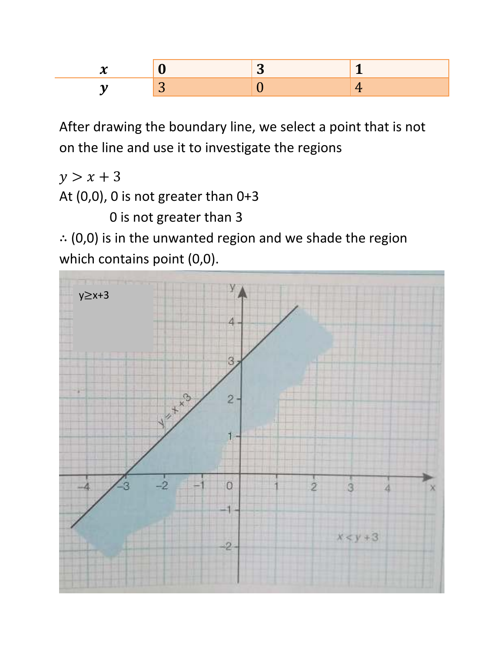

After drawing the boundary line, we select a point that is not on the line and use it to investigate the regions

 $y > x + 3$ At (0,0), 0 is not greater than 0+3

0 is not greater than 3

∴ (0,0) is in the unwanted region and we shade the region which contains point (0,0).

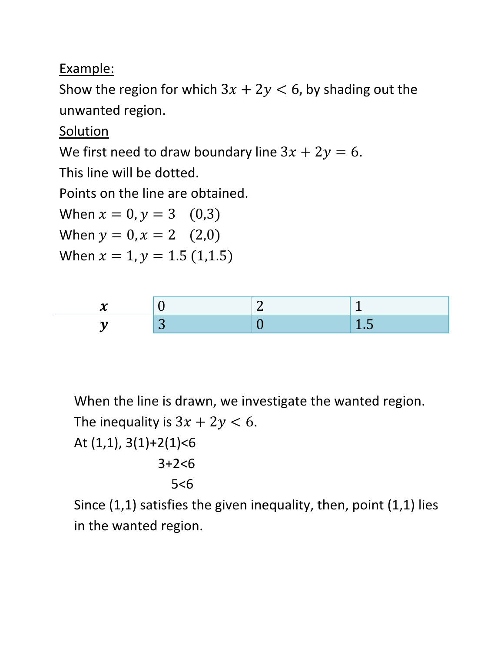Show the region for which  $3x + 2y < 6$ , by shading out the unwanted region.

Solution

We first need to draw boundary line  $3x + 2y = 6$ .

This line will be dotted.

Points on the line are obtained.

When  $x = 0, y = 3$  (0,3)

When  $y = 0, x = 2$  (2,0)

When  $x = 1$ ,  $y = 1.5$  (1,1.5)



When the line is drawn, we investigate the wanted region. The inequality is  $3x + 2y < 6$ . At  $(1,1)$ ,  $3(1)+2(1) < 6$ 3+2<6

$$
5 < 6
$$

Since (1,1) satisfies the given inequality, then, point (1,1) lies in the wanted region.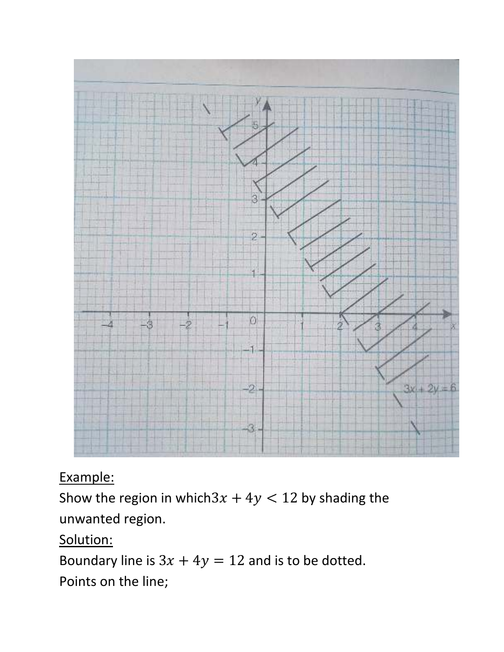

Show the region in which  $3x + 4y < 12$  by shading the unwanted region.

#### Solution:

Boundary line is  $3x + 4y = 12$  and is to be dotted.

Points on the line;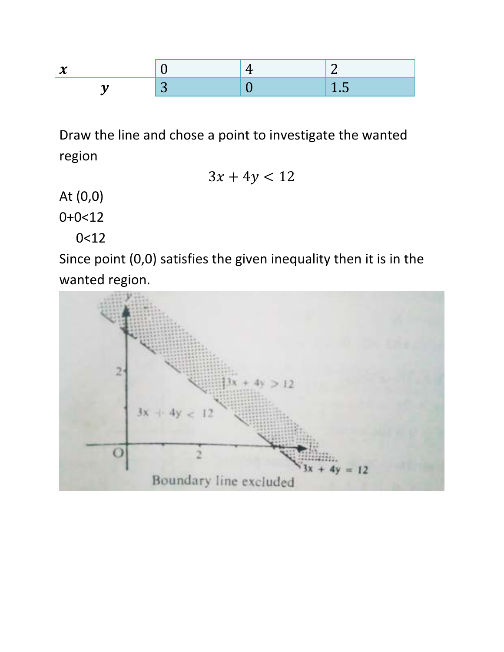

Draw the line and chose a point to investigate the wanted region

$$
3x + 4y < 12
$$

At (0,0)

0+0<12

0<12

Since point (0,0) satisfies the given inequality then it is in the wanted region.